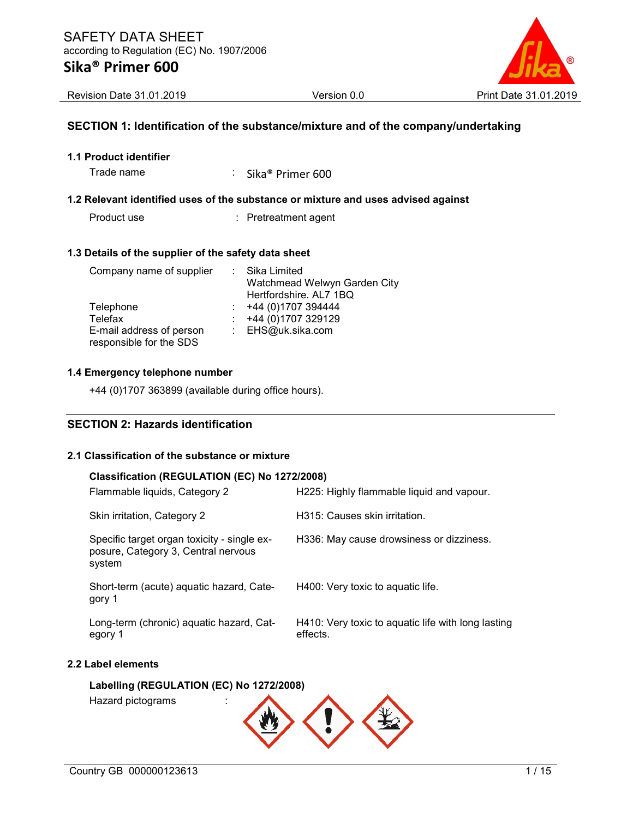

Revision Date 31.01.2019 Version 0.0 Print Date 31.01.2019

#### SECTION 1: Identification of the substance/mixture and of the company/undertaking

1.1 Product identifier

Trade name : Sika® Primer 600

#### 1.2 Relevant identified uses of the substance or mixture and uses advised against

Product use : Pretreatment agent

#### 1.3 Details of the supplier of the safety data sheet

| Company name of supplier                            | : Sika Limited               |
|-----------------------------------------------------|------------------------------|
|                                                     | Watchmead Welwyn Garden City |
|                                                     | Hertfordshire. AL7 1BQ       |
| Telephone                                           | +44 (0)1707 394444           |
| Telefax                                             | +44 (0)1707 329129           |
| E-mail address of person<br>responsible for the SDS | : EHS@uk.sika.com            |

#### 1.4 Emergency telephone number

+44 (0)1707 363899 (available during office hours).

### SECTION 2: Hazards identification

#### 2.1 Classification of the substance or mixture

#### Classification (REGULATION (EC) No 1272/2008)

| Flammable liquids, Category 2                                                                | H225: Highly flammable liquid and vapour.                      |
|----------------------------------------------------------------------------------------------|----------------------------------------------------------------|
| Skin irritation, Category 2                                                                  | H315: Causes skin irritation.                                  |
| Specific target organ toxicity - single ex-<br>posure, Category 3, Central nervous<br>system | H336: May cause drowsiness or dizziness.                       |
| Short-term (acute) aquatic hazard, Cate-<br>gory 1                                           | H400: Very toxic to aguatic life.                              |
| Long-term (chronic) aquatic hazard, Cat-<br>egory 1                                          | H410: Very toxic to aquatic life with long lasting<br>effects. |
| Label elements                                                                               |                                                                |

# Labelling (REGULATION (EC) No 1272/2008)

Hazard pictograms :

 $2.2$ 

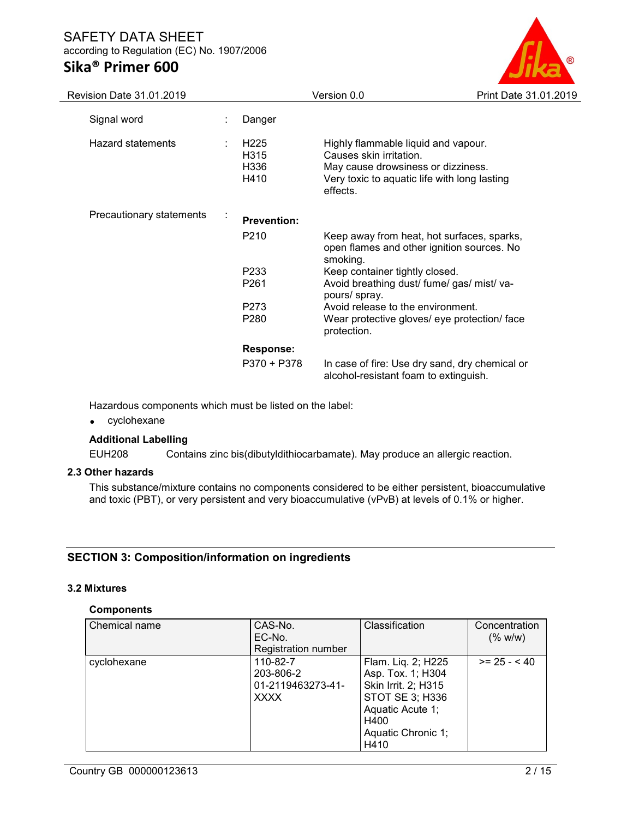

| Revision Date 31.01.2019 |                |                                                       | Version 0.0                                                                                                                                                      | Print Date 31.01.2019 |
|--------------------------|----------------|-------------------------------------------------------|------------------------------------------------------------------------------------------------------------------------------------------------------------------|-----------------------|
| Signal word              |                | Danger                                                |                                                                                                                                                                  |                       |
| Hazard statements        |                | H <sub>225</sub><br>H <sub>3</sub> 15<br>H336<br>H410 | Highly flammable liquid and vapour.<br>Causes skin irritation.<br>May cause drowsiness or dizziness.<br>Very toxic to aquatic life with long lasting<br>effects. |                       |
| Precautionary statements | $\blacksquare$ | <b>Prevention:</b>                                    |                                                                                                                                                                  |                       |
|                          |                | P <sub>210</sub>                                      | Keep away from heat, hot surfaces, sparks,<br>open flames and other ignition sources. No<br>smoking.                                                             |                       |
|                          |                | P <sub>233</sub>                                      | Keep container tightly closed.                                                                                                                                   |                       |
|                          |                | P <sub>261</sub>                                      | Avoid breathing dust/ fume/ gas/ mist/ va-<br>pours/ spray.                                                                                                      |                       |
|                          |                | P273                                                  | Avoid release to the environment.                                                                                                                                |                       |
|                          |                | P <sub>280</sub>                                      | Wear protective gloves/ eye protection/ face<br>protection.                                                                                                      |                       |
|                          |                | <b>Response:</b>                                      |                                                                                                                                                                  |                       |
|                          |                | P370 + P378                                           | In case of fire: Use dry sand, dry chemical or<br>alcohol-resistant foam to extinguish.                                                                          |                       |

Hazardous components which must be listed on the label:

cyclohexane

#### Additional Labelling

EUH208 Contains zinc bis(dibutyldithiocarbamate). May produce an allergic reaction.

#### 2.3 Other hazards

This substance/mixture contains no components considered to be either persistent, bioaccumulative and toxic (PBT), or very persistent and very bioaccumulative (vPvB) at levels of 0.1% or higher.

### SECTION 3: Composition/information on ingredients

#### 3.2 Mixtures

#### **Components**

| Chemical name | CAS-No.<br>EC-No.<br><b>Registration number</b>           | Classification                                                                                                                              | Concentration<br>(% w/w) |
|---------------|-----------------------------------------------------------|---------------------------------------------------------------------------------------------------------------------------------------------|--------------------------|
| cyclohexane   | 110-82-7<br>203-806-2<br>01-2119463273-41-<br><b>XXXX</b> | Flam. Liq. 2; H225<br>Asp. Tox. 1; H304<br>Skin Irrit. 2; H315<br>STOT SE 3; H336<br>Aquatic Acute 1;<br>H400<br>Aquatic Chronic 1;<br>H410 | $>= 25 - 40$             |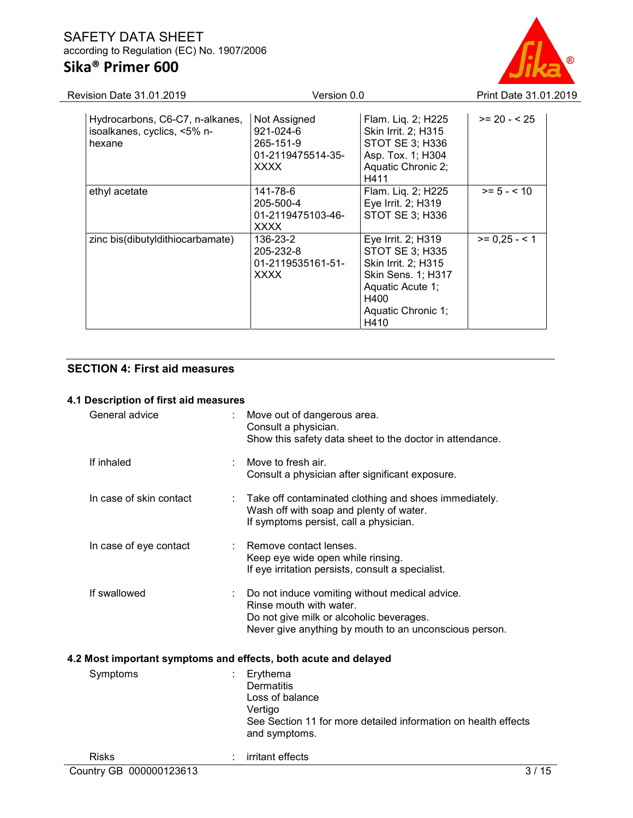# SAFETY DATA SHEET according to Regulation (EC) No. 1907/2006 Sika® Primer 600



| Revision Date 31.01.2019 |                                                                          | Version 0.0                                                                | Print Date 31.01.2019                                                                                                                               |               |  |
|--------------------------|--------------------------------------------------------------------------|----------------------------------------------------------------------------|-----------------------------------------------------------------------------------------------------------------------------------------------------|---------------|--|
|                          | Hydrocarbons, C6-C7, n-alkanes,<br>isoalkanes, cyclics, <5% n-<br>hexane | Not Assigned<br>921-024-6<br>265-151-9<br>01-2119475514-35-<br><b>XXXX</b> | Flam. Liq. 2; H225<br>Skin Irrit. 2; H315<br>STOT SE 3; H336<br>Asp. Tox. 1; H304<br>Aquatic Chronic 2;<br>H411                                     | $>= 20 - 525$ |  |
|                          | ethyl acetate                                                            | 141-78-6<br>205-500-4<br>01-2119475103-46-<br><b>XXXX</b>                  | Flam. Liq. 2; H225<br>Eye Irrit. 2; H319<br>STOT SE 3; H336                                                                                         | $>= 5 - < 10$ |  |
|                          | zinc bis(dibutyldithiocarbamate)                                         | 136-23-2<br>205-232-8<br>01-2119535161-51-<br><b>XXXX</b>                  | Eye Irrit. 2; H319<br>STOT SE 3; H335<br>Skin Irrit. 2; H315<br><b>Skin Sens. 1; H317</b><br>Aquatic Acute 1;<br>H400<br>Aquatic Chronic 1;<br>H410 | $>= 0.25 - 1$ |  |

## SECTION 4: First aid measures

## 4.1 Description of first aid measures

| General advice          | Move out of dangerous area.<br>Consult a physician.<br>Show this safety data sheet to the doctor in attendance.                                                                 |  |
|-------------------------|---------------------------------------------------------------------------------------------------------------------------------------------------------------------------------|--|
| If inhaled              | Move to fresh air.<br>Consult a physician after significant exposure.                                                                                                           |  |
| In case of skin contact | Take off contaminated clothing and shoes immediately.<br>Wash off with soap and plenty of water.<br>If symptoms persist, call a physician.                                      |  |
| In case of eye contact  | Remove contact lenses.<br>Keep eye wide open while rinsing.<br>If eye irritation persists, consult a specialist.                                                                |  |
| If swallowed            | Do not induce vomiting without medical advice.<br>Rinse mouth with water.<br>Do not give milk or alcoholic beverages.<br>Never give anything by mouth to an unconscious person. |  |
|                         | 4.2 Most important symptoms and effects, both acute and delayed                                                                                                                 |  |
| Symptoms                | Erythema<br><b>Dermatitis</b><br>Loss of balance<br>Vertigo<br>See Section 11 for more detailed information on health effects<br>and symptoms.                                  |  |
| <b>Risks</b>            | irritant effects                                                                                                                                                                |  |
| Country GB 000000123613 | 3/15                                                                                                                                                                            |  |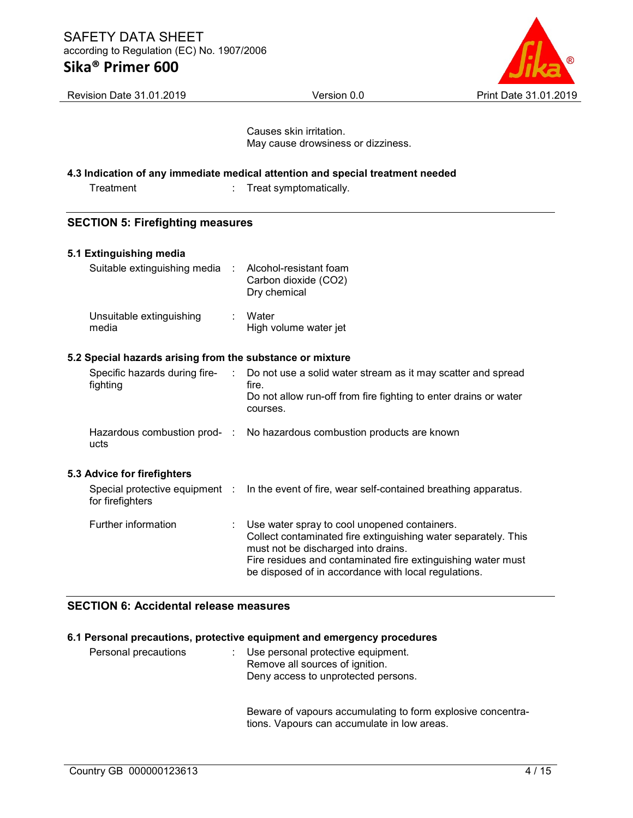# Sika® Primer 600



| Revision Date 31.01.2019                                  | Version 0.0                                                                                                                                                                                                                                                                   | Print Date 31.01.2019 |
|-----------------------------------------------------------|-------------------------------------------------------------------------------------------------------------------------------------------------------------------------------------------------------------------------------------------------------------------------------|-----------------------|
|                                                           | Causes skin irritation.<br>May cause drowsiness or dizziness.                                                                                                                                                                                                                 |                       |
|                                                           | 4.3 Indication of any immediate medical attention and special treatment needed                                                                                                                                                                                                |                       |
| Treatment                                                 | Treat symptomatically.                                                                                                                                                                                                                                                        |                       |
| <b>SECTION 5: Firefighting measures</b>                   |                                                                                                                                                                                                                                                                               |                       |
| 5.1 Extinguishing media                                   |                                                                                                                                                                                                                                                                               |                       |
| Suitable extinguishing media                              | Alcohol-resistant foam<br>Carbon dioxide (CO2)<br>Dry chemical                                                                                                                                                                                                                |                       |
| Unsuitable extinguishing<br>media                         | Water<br>High volume water jet                                                                                                                                                                                                                                                |                       |
| 5.2 Special hazards arising from the substance or mixture |                                                                                                                                                                                                                                                                               |                       |
| Specific hazards during fire-<br>fighting                 | ÷<br>Do not use a solid water stream as it may scatter and spread<br>fire.<br>Do not allow run-off from fire fighting to enter drains or water<br>courses.                                                                                                                    |                       |
| Hazardous combustion prod- :<br>ucts                      | No hazardous combustion products are known                                                                                                                                                                                                                                    |                       |
| 5.3 Advice for firefighters                               |                                                                                                                                                                                                                                                                               |                       |
| Special protective equipment :<br>for firefighters        | In the event of fire, wear self-contained breathing apparatus.                                                                                                                                                                                                                |                       |
| Further information                                       | Use water spray to cool unopened containers.<br>Collect contaminated fire extinguishing water separately. This<br>must not be discharged into drains.<br>Fire residues and contaminated fire extinguishing water must<br>be disposed of in accordance with local regulations. |                       |

# SECTION 6: Accidental release measures

### 6.1 Personal precautions, protective equipment and emergency procedures

| Personal precautions | : Use personal protective equipment.<br>Remove all sources of ignition.<br>Deny access to unprotected persons. |
|----------------------|----------------------------------------------------------------------------------------------------------------|
|                      |                                                                                                                |

Beware of vapours accumulating to form explosive concentrations. Vapours can accumulate in low areas.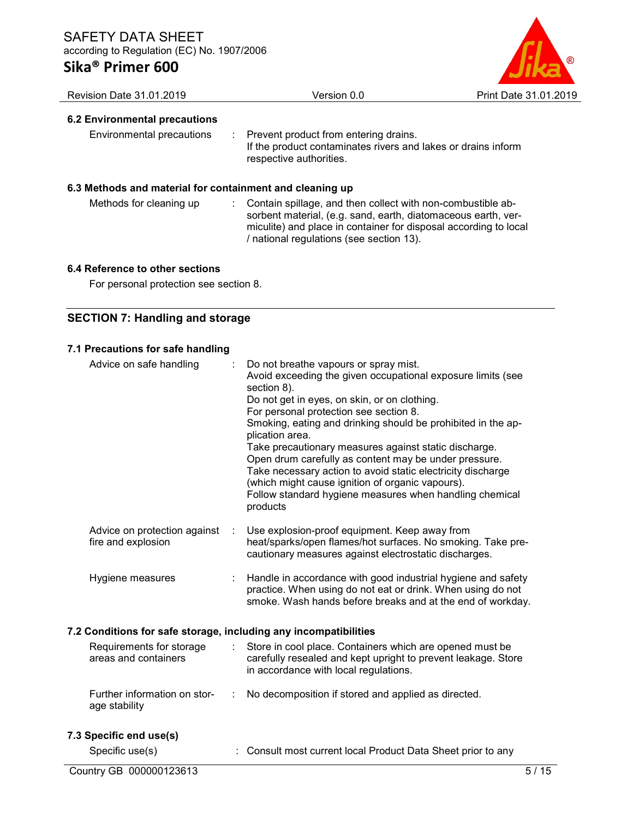

| <b>Revision Date 31.01.2019</b>                          | Version 0.0                                                                                                                                                                                                                                  | Print Date 31.01.2019 |
|----------------------------------------------------------|----------------------------------------------------------------------------------------------------------------------------------------------------------------------------------------------------------------------------------------------|-----------------------|
| 6.2 Environmental precautions                            |                                                                                                                                                                                                                                              |                       |
| Environmental precautions                                | : Prevent product from entering drains.<br>If the product contaminates rivers and lakes or drains inform<br>respective authorities.                                                                                                          |                       |
| 6.3 Methods and material for containment and cleaning up |                                                                                                                                                                                                                                              |                       |
| Methods for cleaning up                                  | Contain spillage, and then collect with non-combustible ab-<br>sorbent material, (e.g. sand, earth, diatomaceous earth, ver-<br>miculite) and place in container for disposal according to local<br>/ national regulations (see section 13). |                       |

### 6.4 Reference to other sections

For personal protection see section 8.

## SECTION 7: Handling and storage

## 7.1 Precautions for safe handling

| Advice on safe handling                                          |   | Do not breathe vapours or spray mist.<br>Avoid exceeding the given occupational exposure limits (see<br>section 8).                                                                                                                                                                                                                                        |
|------------------------------------------------------------------|---|------------------------------------------------------------------------------------------------------------------------------------------------------------------------------------------------------------------------------------------------------------------------------------------------------------------------------------------------------------|
|                                                                  |   | Do not get in eyes, on skin, or on clothing.<br>For personal protection see section 8.<br>Smoking, eating and drinking should be prohibited in the ap-<br>plication area.<br>Take precautionary measures against static discharge.<br>Open drum carefully as content may be under pressure.<br>Take necessary action to avoid static electricity discharge |
|                                                                  |   | (which might cause ignition of organic vapours).<br>Follow standard hygiene measures when handling chemical<br>products                                                                                                                                                                                                                                    |
| Advice on protection against<br>fire and explosion               | ÷ | Use explosion-proof equipment. Keep away from<br>heat/sparks/open flames/hot surfaces. No smoking. Take pre-<br>cautionary measures against electrostatic discharges.                                                                                                                                                                                      |
| Hygiene measures                                                 |   | Handle in accordance with good industrial hygiene and safety<br>practice. When using do not eat or drink. When using do not<br>smoke. Wash hands before breaks and at the end of workday.                                                                                                                                                                  |
| 7.2 Conditions for safe storage, including any incompatibilities |   |                                                                                                                                                                                                                                                                                                                                                            |
| Requirements for storage<br>areas and containers                 |   | Store in cool place. Containers which are opened must be<br>carefully resealed and kept upright to prevent leakage. Store<br>in accordance with local regulations.                                                                                                                                                                                         |
| Further information on stor-<br>age stability                    |   | No decomposition if stored and applied as directed.                                                                                                                                                                                                                                                                                                        |
| 7.3 Specific end use(s)                                          |   |                                                                                                                                                                                                                                                                                                                                                            |
| Specific use(s)                                                  |   | Consult most current local Product Data Sheet prior to any                                                                                                                                                                                                                                                                                                 |
| Country GB 000000123613                                          |   | 5/15                                                                                                                                                                                                                                                                                                                                                       |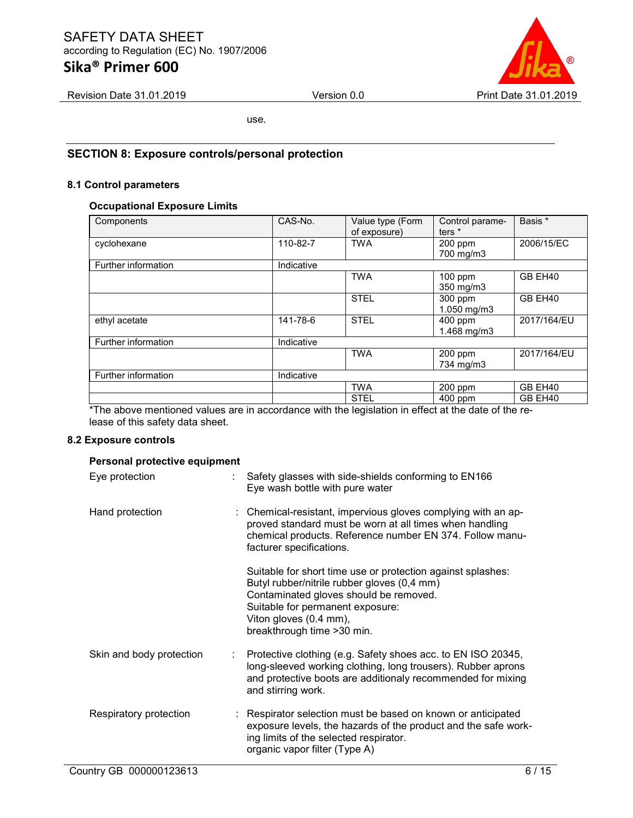# Sika® Primer 600



Revision Date 31.01.2019 Version 0.0 Print Date 31.01.2019

use.

## SECTION 8: Exposure controls/personal protection

#### 8.1 Control parameters

#### Occupational Exposure Limits

| Components          | CAS-No.    | Value type (Form<br>of exposure) | Control parame-<br>ters <sup>*</sup> | Basis *     |
|---------------------|------------|----------------------------------|--------------------------------------|-------------|
| cyclohexane         | 110-82-7   | <b>TWA</b>                       | $200$ ppm<br>700 mg/m3               | 2006/15/EC  |
| Further information | Indicative |                                  |                                      |             |
|                     |            | <b>TWA</b>                       | 100 ppm<br>350 mg/m3                 | GB EH40     |
|                     |            | <b>STEL</b>                      | 300 ppm<br>1.050 mg/m3               | GB EH40     |
| ethyl acetate       | 141-78-6   | <b>STEL</b>                      | 400 ppm<br>$1.468$ mg/m $3$          | 2017/164/EU |
| Further information | Indicative |                                  |                                      |             |
|                     |            | <b>TWA</b>                       | 200 ppm<br>734 mg/m3                 | 2017/164/EU |
| Further information | Indicative |                                  |                                      |             |
|                     |            | <b>TWA</b>                       | 200 ppm                              | GB EH40     |
|                     |            | <b>STEL</b>                      | 400 ppm                              | GB EH40     |

The above mentioned values are in accordance with the legislation in effect at the date of the release of this safety data sheet.

#### 8.2 Exposure controls

#### Personal protective equipment

| Eye protection           | Safety glasses with side-shields conforming to EN166<br>Eye wash bottle with pure water                                                                                                                                                           |
|--------------------------|---------------------------------------------------------------------------------------------------------------------------------------------------------------------------------------------------------------------------------------------------|
| Hand protection          | : Chemical-resistant, impervious gloves complying with an ap-<br>proved standard must be worn at all times when handling<br>chemical products. Reference number EN 374. Follow manu-<br>facturer specifications.                                  |
|                          | Suitable for short time use or protection against splashes:<br>Butyl rubber/nitrile rubber gloves (0,4 mm)<br>Contaminated gloves should be removed.<br>Suitable for permanent exposure:<br>Viton gloves (0.4 mm),<br>breakthrough time > 30 min. |
| Skin and body protection | Protective clothing (e.g. Safety shoes acc. to EN ISO 20345,<br>long-sleeved working clothing, long trousers). Rubber aprons<br>and protective boots are additionaly recommended for mixing<br>and stirring work.                                 |
| Respiratory protection   | : Respirator selection must be based on known or anticipated<br>exposure levels, the hazards of the product and the safe work-<br>ing limits of the selected respirator.<br>organic vapor filter (Type A)                                         |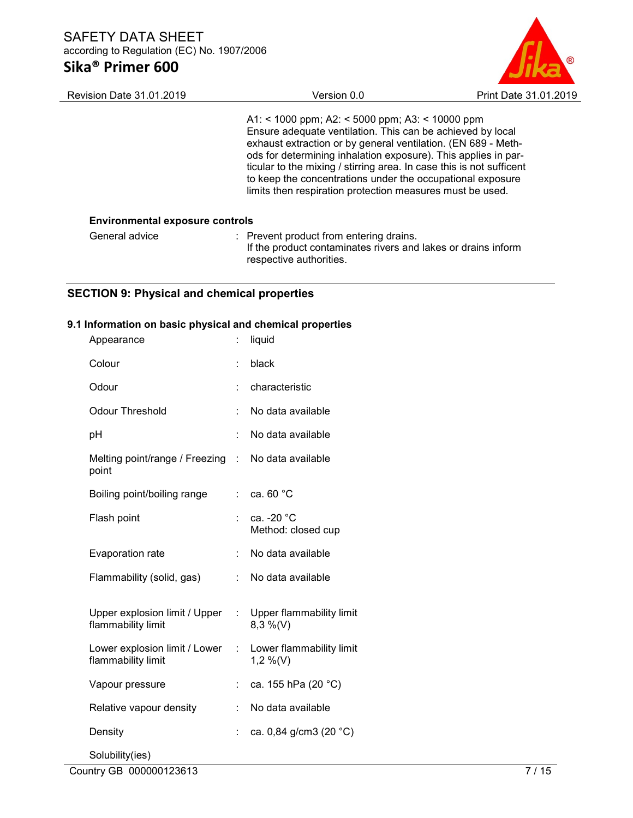

| <b>Revision Date 31.01.2019</b>        | Version 0.0                                                                                                                                                                                                                                                                                                                                                                                                                                         | Print Date 31.01.2019 |
|----------------------------------------|-----------------------------------------------------------------------------------------------------------------------------------------------------------------------------------------------------------------------------------------------------------------------------------------------------------------------------------------------------------------------------------------------------------------------------------------------------|-----------------------|
|                                        | A1: < 1000 ppm; A2: < 5000 ppm; A3: < 10000 ppm<br>Ensure adequate ventilation. This can be achieved by local<br>exhaust extraction or by general ventilation. (EN 689 - Meth-<br>ods for determining inhalation exposure). This applies in par-<br>ticular to the mixing / stirring area. In case this is not sufficent<br>to keep the concentrations under the occupational exposure<br>limits then respiration protection measures must be used. |                       |
| <b>Environmental exposure controls</b> |                                                                                                                                                                                                                                                                                                                                                                                                                                                     |                       |
| General advice                         | : Prevent product from entering drains.<br>If the product contaminates rivers and lakes or drains inform<br>respective authorities.                                                                                                                                                                                                                                                                                                                 |                       |

# SECTION 9: Physical and chemical properties

## 9.1 Information on basic physical and chemical properties

| Appearance                                          |                      | liquid                               |
|-----------------------------------------------------|----------------------|--------------------------------------|
| Colour                                              | $\ddot{\phantom{a}}$ | black                                |
| Odour                                               |                      | characteristic                       |
| <b>Odour Threshold</b>                              | t                    | No data available                    |
| pH                                                  | t                    | No data available                    |
| Melting point/range / Freezing<br>point             | $\mathbb{R}$         | No data available                    |
| Boiling point/boiling range                         | t.                   | ca. 60 °C                            |
| Flash point                                         | t                    | ca. -20 °C<br>Method: closed cup     |
| Evaporation rate                                    | ÷                    | No data available                    |
| Flammability (solid, gas)                           | ÷                    | No data available                    |
| Upper explosion limit / Upper<br>flammability limit | ÷.                   | Upper flammability limit<br>8,3 %(V) |
| Lower explosion limit / Lower<br>flammability limit | ÷.                   | Lower flammability limit<br>1,2 %(V) |
| Vapour pressure                                     | t.                   | ca. 155 hPa (20 °C)                  |
| Relative vapour density                             | ÷                    | No data available                    |
| Density                                             | t                    | ca. 0,84 g/cm3 (20 °C)               |
| Solubility(ies)                                     |                      |                                      |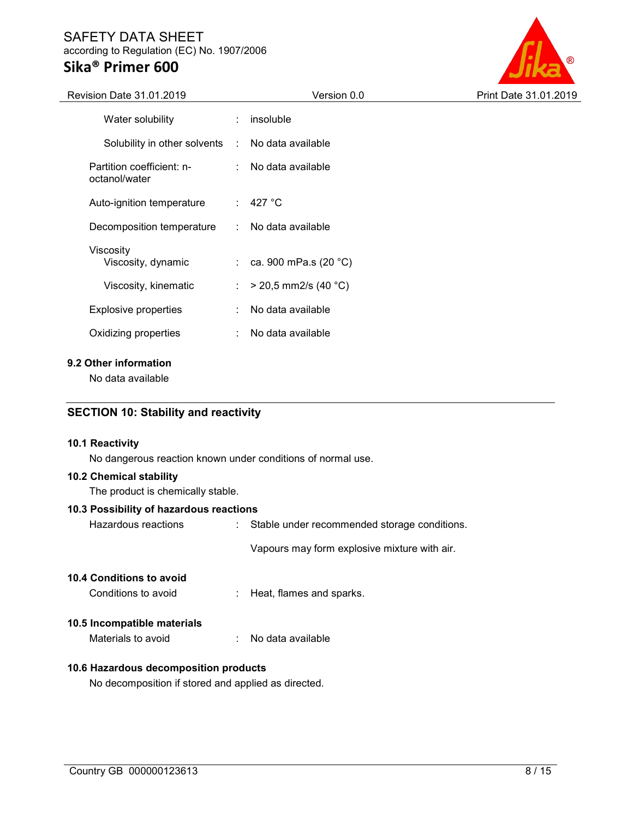# Sika® Primer 600



| <b>Revision Date 31.01.2019</b>                  |                             | Version 0.0               | Print Date 31.01.2019 |
|--------------------------------------------------|-----------------------------|---------------------------|-----------------------|
| Water solubility                                 | ÷                           | insoluble                 |                       |
| Solubility in other solvents : No data available |                             |                           |                       |
| Partition coefficient: n-<br>octanol/water       |                             | No data available         |                       |
| Auto-ignition temperature                        |                             | $\therefore$ 427 °C       |                       |
| Decomposition temperature                        | $\mathcal{L}$               | No data available         |                       |
| Viscosity<br>Viscosity, dynamic                  |                             | : ca. 900 mPa.s $(20 °C)$ |                       |
| Viscosity, kinematic                             | $\mathcal{L}_{\mathcal{A}}$ | $>$ 20,5 mm2/s (40 °C)    |                       |
| <b>Explosive properties</b>                      | ÷                           | No data available         |                       |
| Oxidizing properties                             | ÷                           | No data available         |                       |
|                                                  |                             |                           |                       |

### 9.2 Other information

No data available

### SECTION 10: Stability and reactivity

#### 10.1 Reactivity

No dangerous reaction known under conditions of normal use.

#### 10.2 Chemical stability

The product is chemically stable.

#### 10.3 Possibility of hazardous reactions

Hazardous reactions : Stable under recommended storage conditions.

Vapours may form explosive mixture with air.

#### 10.4 Conditions to avoid

Conditions to avoid : Heat, flames and sparks.

#### 10.5 Incompatible materials

Materials to avoid : No data available

#### 10.6 Hazardous decomposition products

No decomposition if stored and applied as directed.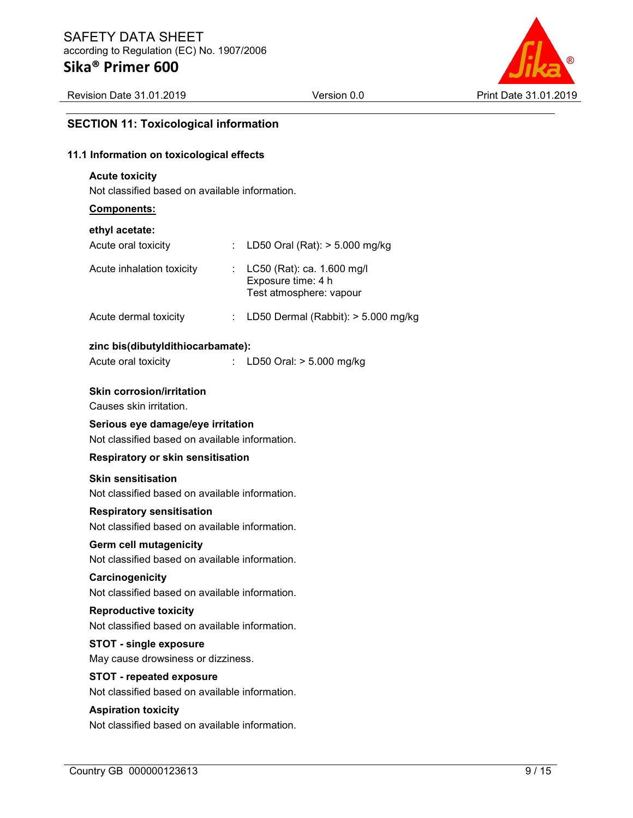Revision Date 31.01.2019 Version 0.0 Print Date 31.01.2019



#### SECTION 11: Toxicological information

## 11.1 Information on toxicological effects

#### Acute toxicity

Not classified based on available information.

#### Components:

#### ethyl acetate:

| Acute oral toxicity       | : LD50 Oral (Rat): $> 5.000$ mg/kg                                            |
|---------------------------|-------------------------------------------------------------------------------|
| Acute inhalation toxicity | : LC50 (Rat): ca. 1.600 mg/l<br>Exposure time: 4 h<br>Test atmosphere: vapour |

#### Acute dermal toxicity : LD50 Dermal (Rabbit): > 5.000 mg/kg

#### zinc bis(dibutyldithiocarbamate):

| Acute oral toxicity | LD50 Oral: > 5.000 mg/kg |
|---------------------|--------------------------|
|---------------------|--------------------------|

#### Skin corrosion/irritation

Causes skin irritation.

#### Serious eye damage/eye irritation

Not classified based on available information.

#### Respiratory or skin sensitisation

#### Skin sensitisation

Not classified based on available information.

#### Respiratory sensitisation

Not classified based on available information.

#### Germ cell mutagenicity

Not classified based on available information.

#### **Carcinogenicity**

Not classified based on available information.

## Reproductive toxicity

Not classified based on available information.

### STOT - single exposure

May cause drowsiness or dizziness.

## STOT - repeated exposure

Not classified based on available information.

## Aspiration toxicity

Not classified based on available information.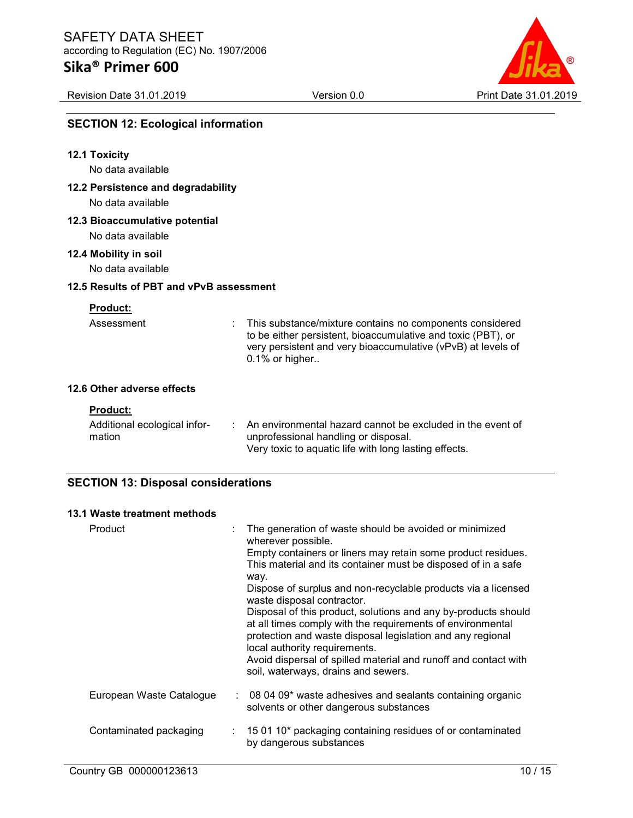

# SECTION 12: Ecological information

| <b>12.1 Toxicity</b><br>No data available               |                                                                                                                                                                                                            |
|---------------------------------------------------------|------------------------------------------------------------------------------------------------------------------------------------------------------------------------------------------------------------|
| 12.2 Persistence and degradability<br>No data available |                                                                                                                                                                                                            |
| 12.3 Bioaccumulative potential<br>No data available     |                                                                                                                                                                                                            |
| 12.4 Mobility in soil<br>No data available              |                                                                                                                                                                                                            |
| 12.5 Results of PBT and vPvB assessment                 |                                                                                                                                                                                                            |
| <b>Product:</b>                                         |                                                                                                                                                                                                            |
| Assessment                                              | This substance/mixture contains no components considered<br>to be either persistent, bioaccumulative and toxic (PBT), or<br>very persistent and very bioaccumulative (vPvB) at levels of<br>0.1% or higher |
| 12.6 Other adverse effects                              |                                                                                                                                                                                                            |
| <b>Product:</b>                                         |                                                                                                                                                                                                            |
| Additional ecological infor-<br>mation                  | An environmental hazard cannot be excluded in the event of<br>unprofessional handling or disposal.<br>Very toxic to aquatic life with long lasting effects.                                                |
| <b>SECTION 13: Disposal considerations</b>              |                                                                                                                                                                                                            |

#### 13.1 Waste treatment methods

| Product                  | The generation of waste should be avoided or minimized<br>wherever possible.<br>Empty containers or liners may retain some product residues.<br>This material and its container must be disposed of in a safe<br>way.<br>Dispose of surplus and non-recyclable products via a licensed<br>waste disposal contractor.<br>Disposal of this product, solutions and any by-products should<br>at all times comply with the requirements of environmental<br>protection and waste disposal legislation and any regional<br>local authority requirements.<br>Avoid dispersal of spilled material and runoff and contact with<br>soil, waterways, drains and sewers. |
|--------------------------|---------------------------------------------------------------------------------------------------------------------------------------------------------------------------------------------------------------------------------------------------------------------------------------------------------------------------------------------------------------------------------------------------------------------------------------------------------------------------------------------------------------------------------------------------------------------------------------------------------------------------------------------------------------|
| European Waste Catalogue | $\therefore$ 08 04 09* waste adhesives and sealants containing organic<br>solvents or other dangerous substances                                                                                                                                                                                                                                                                                                                                                                                                                                                                                                                                              |
| Contaminated packaging   | $\therefore$ 15 01 10 <sup>*</sup> packaging containing residues of or contaminated<br>by dangerous substances                                                                                                                                                                                                                                                                                                                                                                                                                                                                                                                                                |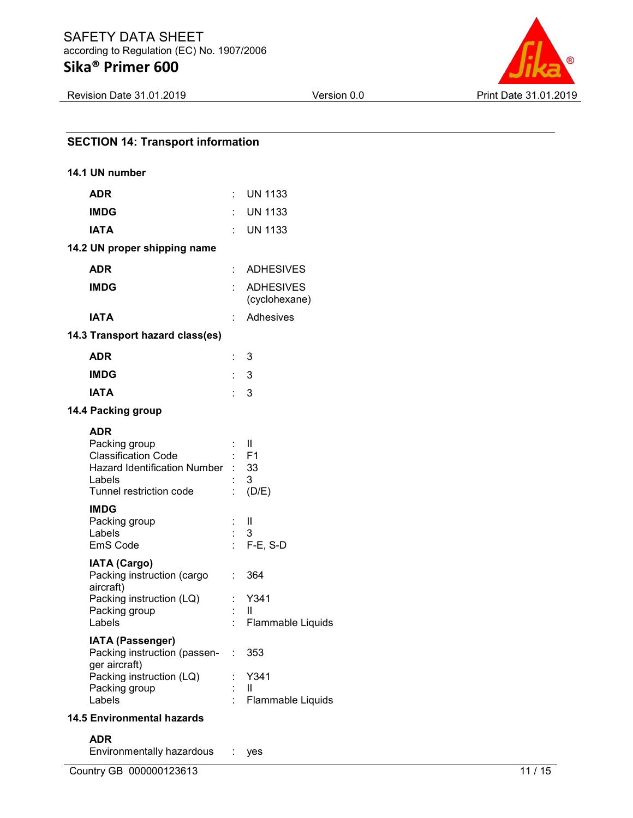Revision Date 31.01.2019 Version 0.0 Version 0.0 Print Date 31.01.2019

| <b>SECTION 14: Transport information</b>                                                                                                                             |                |                                       |  |  |
|----------------------------------------------------------------------------------------------------------------------------------------------------------------------|----------------|---------------------------------------|--|--|
| 14.1 UN number                                                                                                                                                       |                |                                       |  |  |
| <b>ADR</b>                                                                                                                                                           |                | $:$ UN 1133                           |  |  |
| <b>IMDG</b>                                                                                                                                                          |                | $:$ UN 1133                           |  |  |
| <b>IATA</b>                                                                                                                                                          | ÷.             | <b>UN 1133</b>                        |  |  |
| 14.2 UN proper shipping name                                                                                                                                         |                |                                       |  |  |
| <b>ADR</b>                                                                                                                                                           | t.             | <b>ADHESIVES</b>                      |  |  |
| <b>IMDG</b>                                                                                                                                                          |                | <b>ADHESIVES</b><br>(cyclohexane)     |  |  |
| <b>IATA</b>                                                                                                                                                          | t.             | Adhesives                             |  |  |
| 14.3 Transport hazard class(es)                                                                                                                                      |                |                                       |  |  |
| <b>ADR</b>                                                                                                                                                           |                | 3                                     |  |  |
| <b>IMDG</b>                                                                                                                                                          | t.             | 3                                     |  |  |
| <b>IATA</b>                                                                                                                                                          | $\therefore$ 3 |                                       |  |  |
| 14.4 Packing group                                                                                                                                                   |                |                                       |  |  |
| <b>ADR</b><br>Packing group<br><b>Classification Code</b><br>Hazard Identification Number : 33<br>Labels<br>Tunnel restriction code                                  |                | -II<br>$:$ F1<br>3<br>(D/E)           |  |  |
| <b>IMDG</b><br>Packing group<br>Labels<br>EmS Code                                                                                                                   |                | H<br>3<br>$F-E$ , S-D                 |  |  |
| <b>IATA (Cargo)</b><br>Packing instruction (cargo :<br>aircraft)<br>Packing instruction (LQ) : Y341<br>Packing group<br>Labels                                       | ÷.             | 364<br>Ш<br>Flammable Liquids         |  |  |
| <b>IATA (Passenger)</b><br>Packing instruction (passen-<br>ger aircraft)<br>Packing instruction (LQ)<br>Packing group<br>Labels<br><b>14.5 Environmental hazards</b> | ÷              | 353<br>Y341<br>Ш<br>Flammable Liquids |  |  |
|                                                                                                                                                                      |                |                                       |  |  |

#### ADR

Environmentally hazardous : yes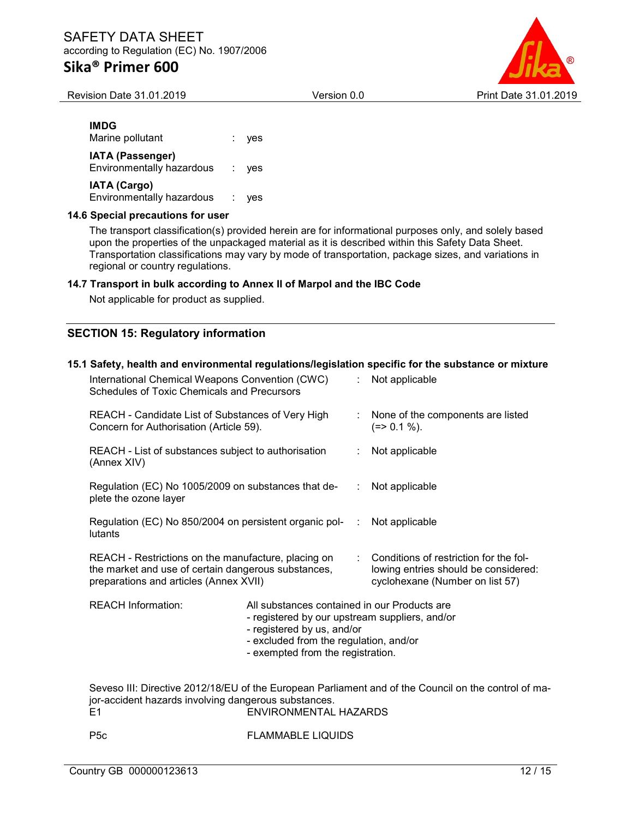Revision Date 31.01.2019 Version 0.0 Print Date 31.01.2019

| ۰. |
|----|
|----|

Marine pollutant : yes IATA (Passenger) Environmentally hazardous : yes IATA (Cargo) Environmentally hazardous : yes

#### 14.6 Special precautions for user

The transport classification(s) provided herein are for informational purposes only, and solely based upon the properties of the unpackaged material as it is described within this Safety Data Sheet. Transportation classifications may vary by mode of transportation, package sizes, and variations in regional or country regulations.

#### 14.7 Transport in bulk according to Annex II of Marpol and the IBC Code

Not applicable for product as supplied.

## SECTION 15: Regulatory information

#### 15.1 Safety, health and environmental regulations/legislation specific for the substance or mixture

| International Chemical Weapons Convention (CWC)<br>Schedules of Toxic Chemicals and Precursors                                                            |  |    | : Not applicable                                                                                                    |
|-----------------------------------------------------------------------------------------------------------------------------------------------------------|--|----|---------------------------------------------------------------------------------------------------------------------|
| REACH - Candidate List of Substances of Very High<br>Concern for Authorisation (Article 59).                                                              |  |    | : None of the components are listed<br>$(=>0.1\%).$                                                                 |
| REACH - List of substances subject to authorisation<br>(Annex XIV)                                                                                        |  |    | Not applicable                                                                                                      |
| Regulation (EC) No 1005/2009 on substances that de-<br>plete the ozone layer                                                                              |  | ÷. | Not applicable                                                                                                      |
| Regulation (EC) No 850/2004 on persistent organic pol-<br>lutants                                                                                         |  | ÷  | Not applicable                                                                                                      |
| REACH - Restrictions on the manufacture, placing on<br>the market and use of certain dangerous substances,<br>preparations and articles (Annex XVII)      |  |    | : Conditions of restriction for the fol-<br>lowing entries should be considered:<br>cyclohexane (Number on list 57) |
| <b>REACH Information:</b><br>All substances contained in our Products are<br>- registered by our upstream suppliers, and/or<br>- registered by us, and/or |  |    |                                                                                                                     |

- excluded from the regulation, and/or
- exempted from the registration.

Seveso III: Directive 2012/18/EU of the European Parliament and of the Council on the control of major-accident hazards involving dangerous substances. E1 ENVIRONMENTAL HAZARDS

P5c FLAMMABLE LIQUIDS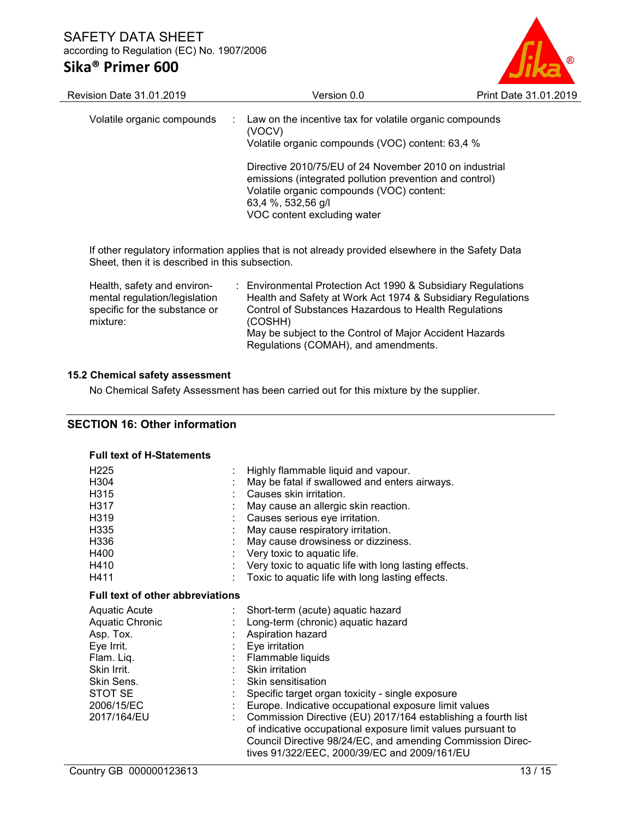# Sika® Primer 600



| <b>Revision Date 31.01.2019</b>                                                               | Version 0.0                                                                                                                                                                                                         | Print Date 31.01.2019 |
|-----------------------------------------------------------------------------------------------|---------------------------------------------------------------------------------------------------------------------------------------------------------------------------------------------------------------------|-----------------------|
| Volatile organic compounds                                                                    | : Law on the incentive tax for volatile organic compounds<br>(VOCV)<br>Volatile organic compounds (VOC) content: 63,4 %                                                                                             |                       |
|                                                                                               | Directive 2010/75/EU of 24 November 2010 on industrial<br>emissions (integrated pollution prevention and control)<br>Volatile organic compounds (VOC) content:<br>63,4 %, 532,56 g/l<br>VOC content excluding water |                       |
| Sheet, then it is described in this subsection.                                               | If other regulatory information applies that is not already provided elsewhere in the Safety Data                                                                                                                   |                       |
| Health, safety and environ-<br>mental regulation/legislation<br>specific for the substance or | : Environmental Protection Act 1990 & Subsidiary Regulations<br>Health and Safety at Work Act 1974 & Subsidiary Regulations<br>Control of Substances Hazardous to Health Regulations                                |                       |

May be subject to the Control of Major Accident Hazards

Regulations (COMAH), and amendments.

#### 15.2 Chemical safety assessment

mixture:

No Chemical Safety Assessment has been carried out for this mixture by the supplier.

(COSHH)

#### SECTION 16: Other information

#### Full text of H-Statements

| H <sub>225</sub><br>H304<br>H315<br>H317<br>H319<br>H <sub>335</sub><br>H336<br>H400 | Highly flammable liquid and vapour.<br>May be fatal if swallowed and enters airways.<br>Causes skin irritation.<br>May cause an allergic skin reaction.<br>Causes serious eye irritation.<br>May cause respiratory irritation.<br>May cause drowsiness or dizziness. |
|--------------------------------------------------------------------------------------|----------------------------------------------------------------------------------------------------------------------------------------------------------------------------------------------------------------------------------------------------------------------|
|                                                                                      | : Very toxic to aquatic life.                                                                                                                                                                                                                                        |
| H410                                                                                 | Very toxic to aquatic life with long lasting effects.                                                                                                                                                                                                                |
| H411                                                                                 | Toxic to aquatic life with long lasting effects.                                                                                                                                                                                                                     |
| <b>Full text of other abbreviations</b>                                              |                                                                                                                                                                                                                                                                      |
| <b>Aquatic Acute</b>                                                                 | Short-term (acute) aquatic hazard                                                                                                                                                                                                                                    |
| Aquatic Chronic                                                                      | Long-term (chronic) aquatic hazard                                                                                                                                                                                                                                   |
| Asp. Tox.                                                                            | Aspiration hazard                                                                                                                                                                                                                                                    |
| Eye Irrit.                                                                           | Eye irritation                                                                                                                                                                                                                                                       |
| Flam. Liq.                                                                           | Flammable liquids                                                                                                                                                                                                                                                    |
| Skin Irrit.                                                                          | Skin irritation                                                                                                                                                                                                                                                      |
| Skin Sens.                                                                           | Skin sensitisation                                                                                                                                                                                                                                                   |
| STOT SE                                                                              | Specific target organ toxicity - single exposure                                                                                                                                                                                                                     |
| 2006/15/EC                                                                           | Europe. Indicative occupational exposure limit values                                                                                                                                                                                                                |
| 2017/164/EU                                                                          | Commission Directive (EU) 2017/164 establishing a fourth list<br>of indicative occupational exposure limit values pursuant to<br>Council Directive 98/24/EC, and amending Commission Direc-<br>tives 91/322/EEC, 2000/39/EC and 2009/161/EU                          |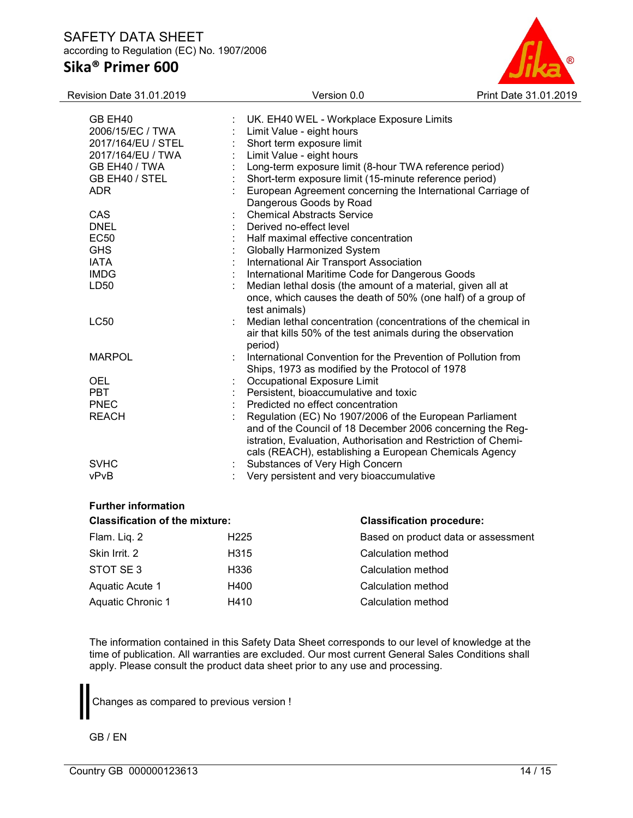

| Revision Date 31.01.2019 |                         | Version 0.0                                                    | Print Date 31.01.2019 |
|--------------------------|-------------------------|----------------------------------------------------------------|-----------------------|
|                          |                         |                                                                |                       |
| GB EH40                  |                         | UK. EH40 WEL - Workplace Exposure Limits                       |                       |
| 2006/15/EC / TWA         |                         | Limit Value - eight hours                                      |                       |
| 2017/164/EU / STEL       |                         | Short term exposure limit                                      |                       |
| 2017/164/EU / TWA        |                         | Limit Value - eight hours                                      |                       |
| GB EH40 / TWA            |                         | Long-term exposure limit (8-hour TWA reference period)         |                       |
| GB EH40 / STEL           |                         | Short-term exposure limit (15-minute reference period)         |                       |
| <b>ADR</b>               |                         | European Agreement concerning the International Carriage of    |                       |
|                          |                         | Dangerous Goods by Road                                        |                       |
| CAS                      |                         | <b>Chemical Abstracts Service</b>                              |                       |
| <b>DNEL</b>              | Derived no-effect level |                                                                |                       |
| <b>EC50</b>              |                         | Half maximal effective concentration                           |                       |
| <b>GHS</b>               |                         | <b>Globally Harmonized System</b>                              |                       |
| <b>IATA</b>              |                         | International Air Transport Association                        |                       |
| <b>IMDG</b>              |                         | International Maritime Code for Dangerous Goods                |                       |
| LD50                     |                         | Median lethal dosis (the amount of a material, given all at    |                       |
|                          |                         | once, which causes the death of 50% (one half) of a group of   |                       |
|                          | test animals)           |                                                                |                       |
| <b>LC50</b>              |                         | Median lethal concentration (concentrations of the chemical in |                       |
|                          |                         | air that kills 50% of the test animals during the observation  |                       |
|                          | period)                 |                                                                |                       |
| <b>MARPOL</b>            |                         | International Convention for the Prevention of Pollution from  |                       |
|                          |                         | Ships, 1973 as modified by the Protocol of 1978                |                       |
| <b>OEL</b>               |                         | <b>Occupational Exposure Limit</b>                             |                       |
| <b>PBT</b>               |                         | Persistent, bioaccumulative and toxic                          |                       |
| <b>PNEC</b>              |                         | Predicted no effect concentration                              |                       |
| <b>REACH</b>             |                         | Regulation (EC) No 1907/2006 of the European Parliament        |                       |
|                          |                         | and of the Council of 18 December 2006 concerning the Reg-     |                       |
|                          |                         | istration, Evaluation, Authorisation and Restriction of Chemi- |                       |
|                          |                         | cals (REACH), establishing a European Chemicals Agency         |                       |
| <b>SVHC</b>              |                         | Substances of Very High Concern                                |                       |
| vPvB                     |                         | Very persistent and very bioaccumulative                       |                       |
|                          |                         |                                                                |                       |
|                          |                         |                                                                |                       |

# Further information

| <b>Classification of the mixture:</b> |                   | <b>Classification procedure:</b>    |
|---------------------------------------|-------------------|-------------------------------------|
| Flam. Liq. 2                          | H <sub>225</sub>  | Based on product data or assessment |
| Skin Irrit, 2                         | H <sub>3</sub> 15 | Calculation method                  |
| STOT SE3                              | H336              | Calculation method                  |
| Aquatic Acute 1                       | H400              | Calculation method                  |
| Aquatic Chronic 1                     | H410              | Calculation method                  |
|                                       |                   |                                     |

The information contained in this Safety Data Sheet corresponds to our level of knowledge at the time of publication. All warranties are excluded. Our most current General Sales Conditions shall apply. Please consult the product data sheet prior to any use and processing.

Changes as compared to previous version !

GB / EN